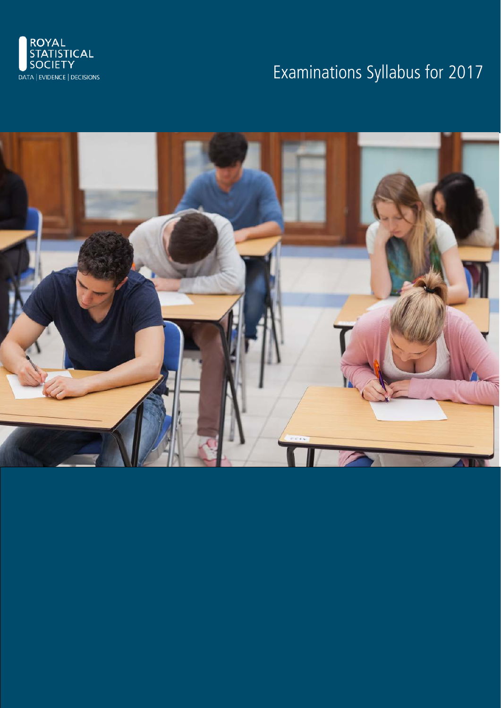

# Examinations Syllabus for 2017

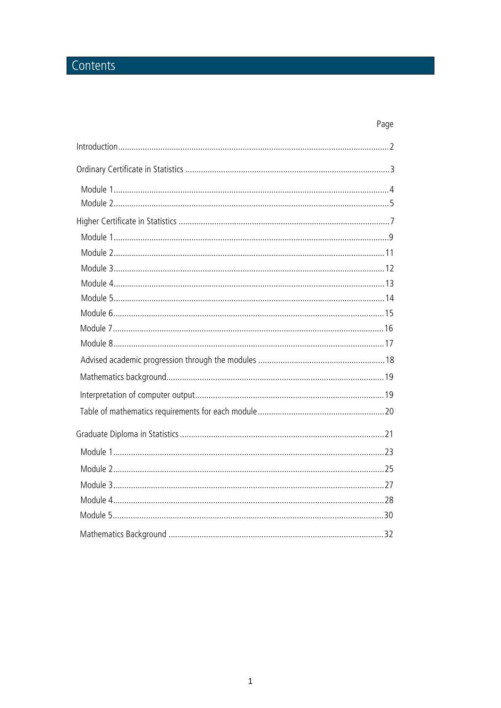## Contents

### Page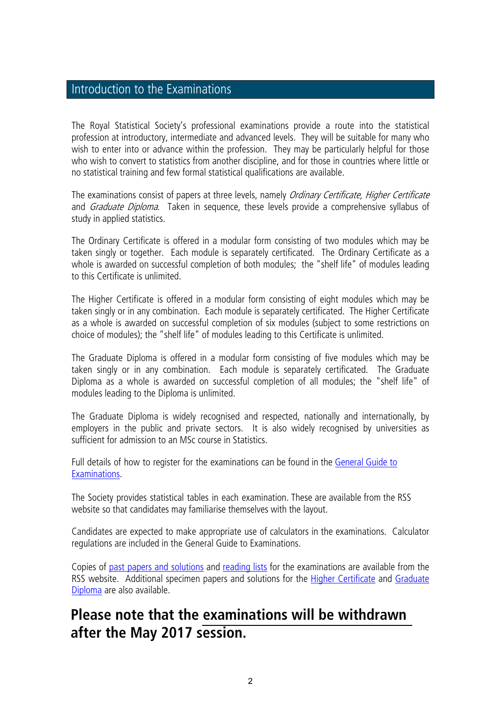### Introduction to the Examinations

The Royal Statistical Society's professional examinations provide a route into the statistical profession at introductory, intermediate and advanced levels. They will be suitable for many who wish to enter into or advance within the profession. They may be particularly helpful for those who wish to convert to statistics from another discipline, and for those in countries where little or no statistical training and few formal statistical qualifications are available.

The examinations consist of papers at three levels, namely *Ordinary Certificate, Higher Certificate* and *Graduate Diploma*. Taken in sequence, these levels provide a comprehensive syllabus of study in applied statistics.

The Ordinary Certificate is offered in a modular form consisting of two modules which may be taken singly or together. Each module is separately certificated. The Ordinary Certificate as a whole is awarded on successful completion of both modules; the "shelf life" of modules leading to this Certificate is unlimited.

The Higher Certificate is offered in a modular form consisting of eight modules which may be taken singly or in any combination. Each module is separately certificated. The Higher Certificate as a whole is awarded on successful completion of six modules (subject to some restrictions on choice of modules); the "shelf life" of modules leading to this Certificate is unlimited.

The Graduate Diploma is offered in a modular form consisting of five modules which may be taken singly or in any combination. Each module is separately certificated. The Graduate Diploma as a whole is awarded on successful completion of all modules; the "shelf life" of modules leading to the Diploma is unlimited.

The Graduate Diploma is widely recognised and respected, nationally and internationally, by employers in the public and private sectors. It is also widely recognised by universities as sufficient for admission to an MSc course in Statistics.

Full details of how to register for the examinations can be found in the General Guide to Examinations.

The Society provides statistical tables in each examination. These are available from the [RSS](www.rss.org.uk/statistical-tables)  [website](www.rss.org.uk/statistical-tables) so that candidates may familiarise themselves with the layout.

Candidates are expected to make appropriate use of calculators in the examinations. Calculator regulations are included in the General Guide to Examinations.

Copies of [past papers and solutions](http://www.rss.org.uk/RSS/pro_dev/Examinations/key_information/Exam_past_papers/RSS/pro_dev/Examinations_sub/key_information/Exam_past_papers/Past_papers_and_solutions.aspx?hkey=a9bb93ab-66e5-4268-8faa-9c4251c35b16) and [reading lists](http://www.rss.org.uk/RSS/pro_dev/Examinations_sub/key_information/Key_information.aspx?hkey=386596ff-14aa-4c44-8f1d-d4316b7e925e) for the examinations are available from the RSS website. Additional specimen papers and solutions for the [Higher Certificate](http://www.rss.org.uk/RSS/pro_dev/Examinations/key_information/Exam_past_papers/RSS/pro_dev/Examinations_sub/key_information/Exam_past_papers/Past_papers_and_solutions.aspx?hkey=a9bb93ab-66e5-4268-8faa-9c4251c35b16) and Graduate [Diploma](http://www.rss.org.uk/site/cms/contentviewarticle.asp?article=655) are also available.

## **Please note that the [examinations will be withdrawn](www.rss.org.uk/exams-faq)  after the May 2017 session.**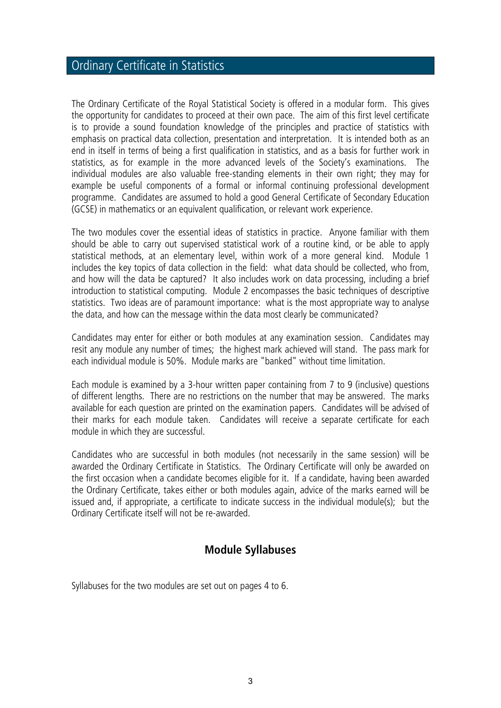## Ordinary Certificate in Statistics

The Ordinary Certificate of the Royal Statistical Society is offered in a modular form. This gives the opportunity for candidates to proceed at their own pace. The aim of this first level certificate is to provide a sound foundation knowledge of the principles and practice of statistics with emphasis on practical data collection, presentation and interpretation. It is intended both as an end in itself in terms of being a first qualification in statistics, and as a basis for further work in statistics, as for example in the more advanced levels of the Society's examinations. The individual modules are also valuable free-standing elements in their own right; they may for example be useful components of a formal or informal continuing professional development programme. Candidates are assumed to hold a good General Certificate of Secondary Education (GCSE) in mathematics or an equivalent qualification, or relevant work experience.

The two modules cover the essential ideas of statistics in practice. Anyone familiar with them should be able to carry out supervised statistical work of a routine kind, or be able to apply statistical methods, at an elementary level, within work of a more general kind. Module 1 includes the key topics of data collection in the field: what data should be collected, who from, and how will the data be captured? It also includes work on data processing, including a brief introduction to statistical computing. Module 2 encompasses the basic techniques of descriptive statistics. Two ideas are of paramount importance: what is the most appropriate way to analyse the data, and how can the message within the data most clearly be communicated?

Candidates may enter for either or both modules at any examination session. Candidates may resit any module any number of times; the highest mark achieved will stand. The pass mark for each individual module is 50%. Module marks are "banked" without time limitation.

Each module is examined by a 3-hour written paper containing from 7 to 9 (inclusive) questions of different lengths. There are no restrictions on the number that may be answered. The marks available for each question are printed on the examination papers. Candidates will be advised of their marks for each module taken. Candidates will receive a separate certificate for each module in which they are successful.

Candidates who are successful in both modules (not necessarily in the same session) will be awarded the Ordinary Certificate in Statistics. The Ordinary Certificate will only be awarded on the first occasion when a candidate becomes eligible for it. If a candidate, having been awarded the Ordinary Certificate, takes either or both modules again, advice of the marks earned will be issued and, if appropriate, a certificate to indicate success in the individual module(s); but the Ordinary Certificate itself will not be re-awarded.

### **Module Syllabuses**

Syllabuses for the two modules are set out on pages 4 to 6.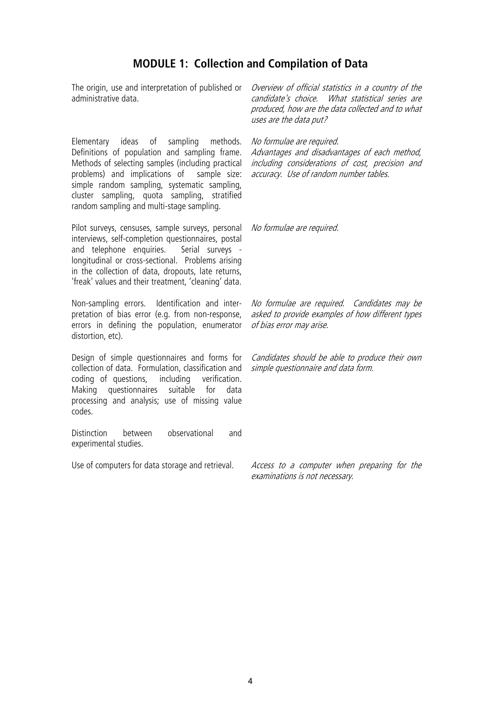### **MODULE 1: Collection and Compilation of Data**

administrative data.

Elementary ideas of sampling methods. Definitions of population and sampling frame. Methods of selecting samples (including practical problems) and implications of sample size: simple random sampling, systematic sampling, cluster sampling, quota sampling, stratified random sampling and multi-stage sampling.

Pilot surveys, censuses, sample surveys, personal *Wo formulae are required*. interviews, self-completion questionnaires, postal and telephone enquiries. Serial surveys longitudinal or cross-sectional. Problems arising in the collection of data, dropouts, late returns, 'freak' values and their treatment, 'cleaning' data.

Non-sampling errors. Identification and interpretation of bias error (e.g. from non-response, errors in defining the population, enumerator distortion, etc).

Design of simple questionnaires and forms for collection of data. Formulation, classification and coding of questions, including verification. Making questionnaires suitable for data processing and analysis; use of missing value codes.

Distinction between observational and experimental studies.

The origin, use and interpretation of published or *Overview of official statistics in a country of the* candidate's choice. What statistical series are produced, how are the data collected and to what uses are the data put?

No formulae are required.

Advantages and disadvantages of each method, including considerations of cost, precision and accuracy. Use of random number tables.

No formulae are required. Candidates may be asked to provide examples of how different types of bias error may arise.

Candidates should be able to produce their own simple questionnaire and data form.

Use of computers for data storage and retrieval. Access to a computer when preparing for the examinations is not necessary.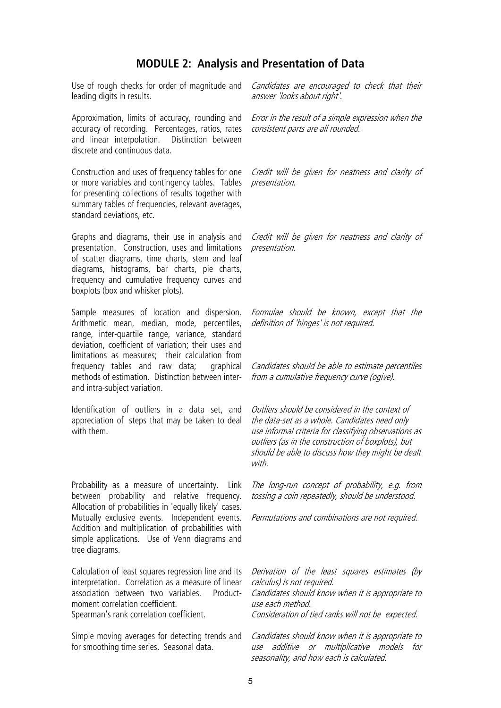### **MODULE 2: Analysis and Presentation of Data**

Use of rough checks for order of magnitude and leading digits in results.

Approximation, limits of accuracy, rounding and accuracy of recording. Percentages, ratios, rates and linear interpolation. Distinction between discrete and continuous data.

Construction and uses of frequency tables for one or more variables and contingency tables. Tables for presenting collections of results together with summary tables of frequencies, relevant averages, standard deviations, etc.

Graphs and diagrams, their use in analysis and presentation. Construction, uses and limitations of scatter diagrams, time charts, stem and leaf diagrams, histograms, bar charts, pie charts, frequency and cumulative frequency curves and boxplots (box and whisker plots).

Sample measures of location and dispersion. Arithmetic mean, median, mode, percentiles, range, inter-quartile range, variance, standard deviation, coefficient of variation; their uses and limitations as measures; their calculation from frequency tables and raw data; graphical methods of estimation. Distinction between interand intra-subject variation.

Identification of outliers in a data set, and appreciation of steps that may be taken to deal with them.

Probability as a measure of uncertainty. Link between probability and relative frequency. Allocation of probabilities in 'equally likely' cases. Mutually exclusive events. Independent events. Addition and multiplication of probabilities with simple applications. Use of Venn diagrams and tree diagrams.

Calculation of least squares regression line and its interpretation. Correlation as a measure of linear association between two variables. Productmoment correlation coefficient. Spearman's rank correlation coefficient.

Simple moving averages for detecting trends and for smoothing time series. Seasonal data.

Candidates are encouraged to check that their answer 'looks about right'.

Error in the result of a simple expression when the consistent parts are all rounded.

Credit will be given for neatness and clarity of presentation.

Credit will be given for neatness and clarity of presentation.

Formulae should be known, except that the definition of 'hinges' is not required.

Candidates should be able to estimate percentiles from a cumulative frequency curve (ogive).

Outliers should be considered in the context of the data-set as a whole. Candidates need only use informal criteria for classifying observations as outliers (as in the construction of boxplots), but should be able to discuss how they might be dealt with.

The long-run concept of probability, e.g. from tossing a coin repeatedly, should be understood.

Permutations and combinations are not required.

Derivation of the least squares estimates (by calculus) is not required. Candidates should know when it is appropriate to use each method. Consideration of tied ranks will not be expected.

Candidates should know when it is appropriate to use additive or multiplicative models for seasonality, and how each is calculated.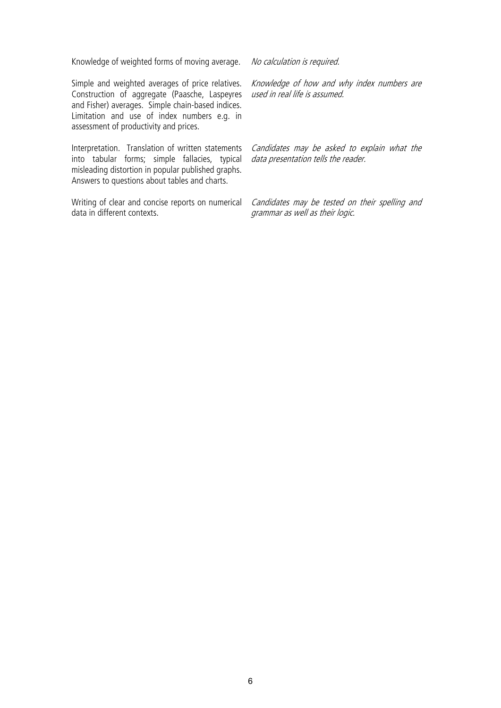Knowledge of weighted forms of moving average. No calculation is required.

Simple and weighted averages of price relatives. Construction of aggregate (Paasche, Laspeyres and Fisher) averages. Simple chain-based indices. Limitation and use of index numbers e.g. in assessment of productivity and prices.

Interpretation. Translation of written statements into tabular forms; simple fallacies, typical misleading distortion in popular published graphs. Answers to questions about tables and charts.

Writing of clear and concise reports on numerical data in different contexts.

Knowledge of how and why index numbers are used in real life is assumed.

Candidates may be asked to explain what the data presentation tells the reader.

Candidates may be tested on their spelling and grammar as well as their logic.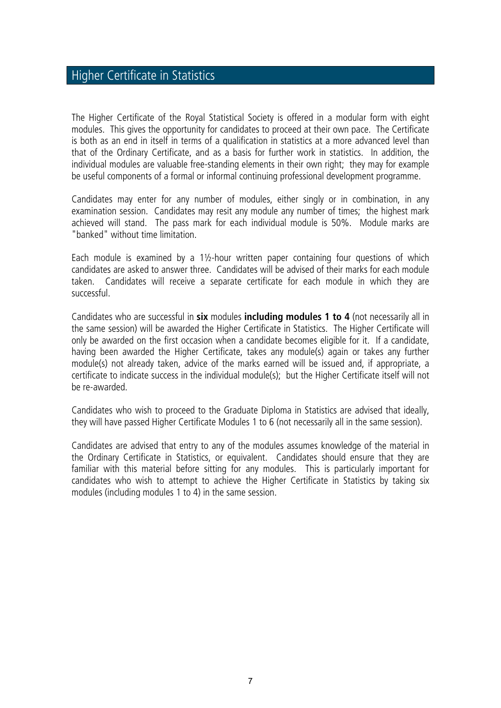## Higher Certificate in Statistics

The Higher Certificate of the Royal Statistical Society is offered in a modular form with eight modules. This gives the opportunity for candidates to proceed at their own pace. The Certificate is both as an end in itself in terms of a qualification in statistics at a more advanced level than that of the Ordinary Certificate, and as a basis for further work in statistics. In addition, the individual modules are valuable free-standing elements in their own right; they may for example be useful components of a formal or informal continuing professional development programme.

Candidates may enter for any number of modules, either singly or in combination, in any examination session. Candidates may resit any module any number of times; the highest mark achieved will stand. The pass mark for each individual module is 50%. Module marks are "banked" without time limitation.

Each module is examined by a 1½-hour written paper containing four questions of which candidates are asked to answer three. Candidates will be advised of their marks for each module taken. Candidates will receive a separate certificate for each module in which they are successful.

Candidates who are successful in **six** modules **including modules 1 to 4** (not necessarily all in the same session) will be awarded the Higher Certificate in Statistics. The Higher Certificate will only be awarded on the first occasion when a candidate becomes eligible for it. If a candidate, having been awarded the Higher Certificate, takes any module(s) again or takes any further module(s) not already taken, advice of the marks earned will be issued and, if appropriate, a certificate to indicate success in the individual module(s); but the Higher Certificate itself will not be re-awarded.

Candidates who wish to proceed to the Graduate Diploma in Statistics are advised that ideally, they will have passed Higher Certificate Modules 1 to 6 (not necessarily all in the same session).

Candidates are advised that entry to any of the modules assumes knowledge of the material in the Ordinary Certificate in Statistics, or equivalent. Candidates should ensure that they are familiar with this material before sitting for any modules. This is particularly important for candidates who wish to attempt to achieve the Higher Certificate in Statistics by taking six modules (including modules 1 to 4) in the same session.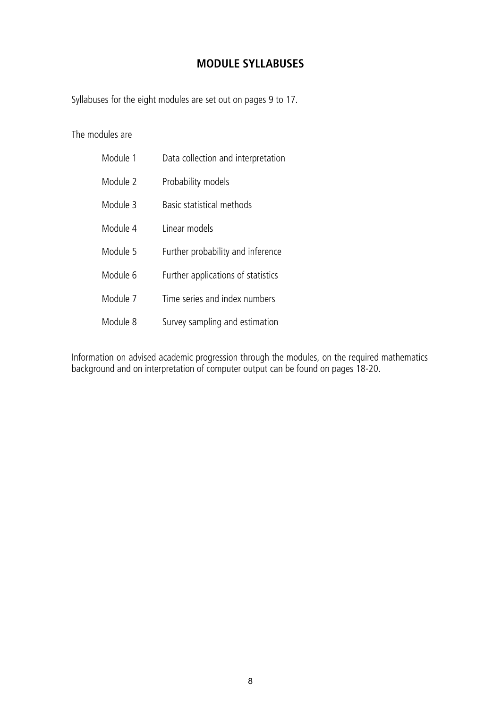### **MODULE SYLLABUSES**

Syllabuses for the eight modules are set out on pages 9 to 17.

The modules are

| Module 1 | Data collection and interpretation |
|----------|------------------------------------|
| Module 2 | Probability models                 |
| Module 3 | Basic statistical methods          |
| Module 4 | I inear models                     |
| Module 5 | Further probability and inference  |
| Module 6 | Further applications of statistics |
| Module 7 | Time series and index numbers      |
| Module 8 | Survey sampling and estimation     |

Information on advised academic progression through the modules, on the required mathematics background and on interpretation of computer output can be found on pages 18-20.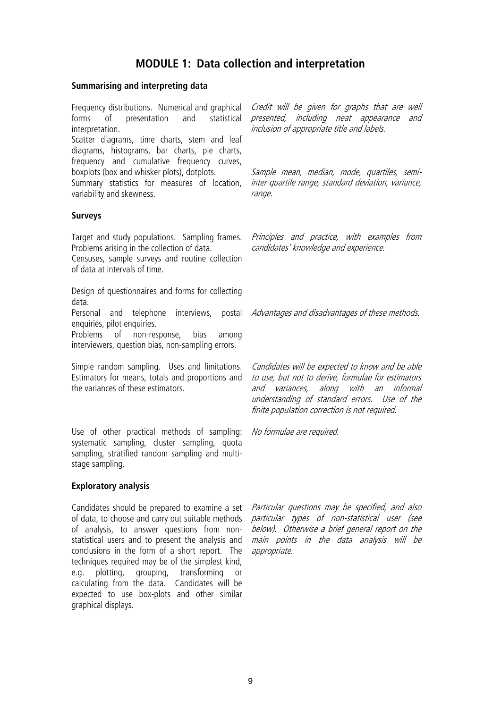### **MODULE 1: Data collection and interpretation**

### **Summarising and interpreting data**

Frequency distributions. Numerical and graphical forms of presentation and statistical interpretation. Scatter diagrams, time charts, stem and leaf diagrams, histograms, bar charts, pie charts, frequency and cumulative frequency curves, boxplots (box and whisker plots), dotplots. Summary statistics for measures of location, variability and skewness. inclusion of appropriate title and labels. Sample mean, median, mode, quartiles, semirange. **Surveys** Target and study populations. Sampling frames. Problems arising in the collection of data. Censuses, sample surveys and routine collection of data at intervals of time. Principles and practice, with examples from candidates' knowledge and experience. Design of questionnaires and forms for collecting data. Personal and telephone interviews, postal *Advantages and disadvantages of these methods*. enquiries, pilot enquiries.

Problems of non-response, bias among interviewers, question bias, non-sampling errors.

Simple random sampling. Uses and limitations. Estimators for means, totals and proportions and the variances of these estimators.

Use of other practical methods of sampling: systematic sampling, cluster sampling, quota sampling, stratified random sampling and multistage sampling.

### **Exploratory analysis**

Candidates should be prepared to examine a set *Particular questions may be specified, and also* of data, to choose and carry out suitable methods *particular types of non-statistical user (see* of analysis, to answer questions from nonstatistical users and to present the analysis and conclusions in the form of a short report. The techniques required may be of the simplest kind, e.g. plotting, grouping, transforming or calculating from the data. Candidates will be expected to use box-plots and other similar graphical displays.

below). Otherwise a brief general report on the main points in the data analysis will be appropriate.

Credit will be given for graphs that are well presented, including neat appearance and

inter-quartile range, standard deviation, variance,

Candidates will be expected to know and be able to use, but not to derive, formulae for estimators and variances, along with an informal understanding of standard errors. Use of the finite population correction is not required.

No formulae are required.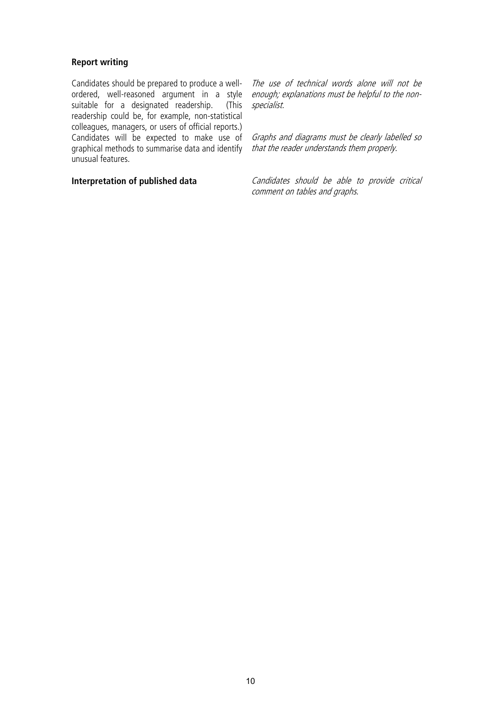### **Report writing**

Candidates should be prepared to produce a wellordered, well-reasoned argument in a style suitable for a designated readership. (This readership could be, for example, non-statistical colleagues, managers, or users of official reports.) Candidates will be expected to make use of graphical methods to summarise data and identify unusual features.

The use of technical words alone will not be enough; explanations must be helpful to the nonspecialist.

Graphs and diagrams must be clearly labelled so that the reader understands them properly.

**Interpretation of published data** Candidates should be able to provide critical comment on tables and graphs.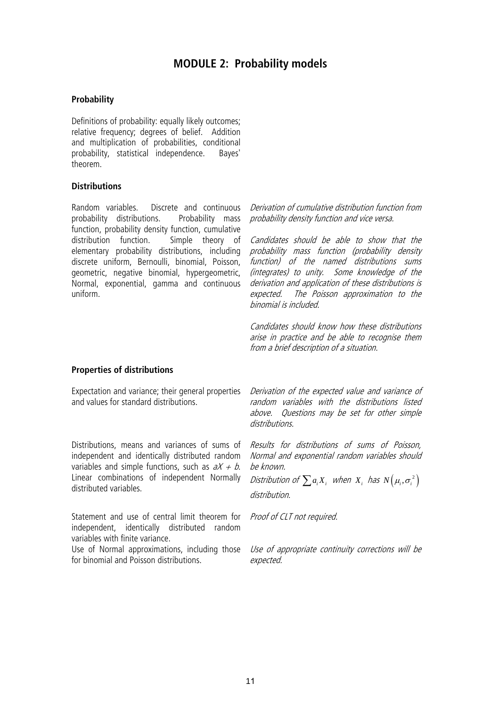### **MODULE 2: Probability models**

### **Probability**

Definitions of probability: equally likely outcomes; relative frequency; degrees of belief. Addition and multiplication of probabilities, conditional<br>probability, statistical independence. Baves' probability, statistical independence. theorem.

### **Distributions**

Random variables. Discrete and continuous *Derivation of cumulative distribution function from* probability distributions. Probability mass function, probability density function, cumulative distribution function. Simple theory of elementary probability distributions, including discrete uniform, Bernoulli, binomial, Poisson, geometric, negative binomial, hypergeometric, Normal, exponential, gamma and continuous uniform.

probability density function and vice versa.

Candidates should be able to show that the probability mass function (probability density function) of the named distributions sums (integrates) to unity. Some knowledge of the derivation and application of these distributions is<br>expected. The Poisson approximation to the The Poisson approximation to the binomial is included.

Candidates should know how these distributions arise in practice and be able to recognise them from a brief description of a situation.

#### **Properties of distributions**

and values for standard distributions.

Distributions, means and variances of sums of independent and identically distributed random variables and simple functions, such as  $aX + b$ . Linear combinations of independent Normally distributed variables.

Statement and use of central limit theorem for *Proof of CLT not required*. independent, identically distributed random variables with finite variance.

Use of Normal approximations, including those for binomial and Poisson distributions.

Expectation and variance; their general properties *Derivation of the expected value and variance of* random variables with the distributions listed above. Questions may be set for other simple distributions.

> Results for distributions of sums of Poisson, Normal and exponential random variables should be known.

Distribution of  $\sum a_i X_i$  when  $X_i$  has  $N(\mu_i, \sigma_i^2)$ distribution.

Use of appropriate continuity corrections will be expected.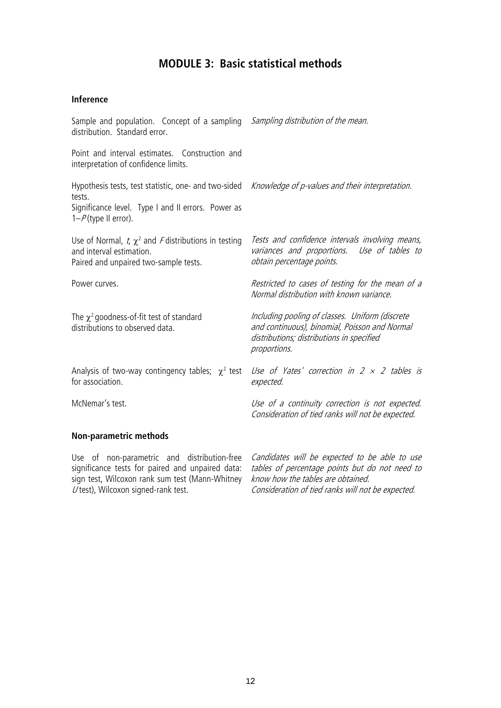### **MODULE 3: Basic statistical methods**

### **Inference**

| Sample and population. Concept of a sampling <i>Sampling distribution of the mean.</i><br>distribution. Standard error.                                                                        |                                                                                                                                                               |
|------------------------------------------------------------------------------------------------------------------------------------------------------------------------------------------------|---------------------------------------------------------------------------------------------------------------------------------------------------------------|
| Point and interval estimates. Construction and<br>interpretation of confidence limits.                                                                                                         |                                                                                                                                                               |
| Hypothesis tests, test statistic, one- and two-sided Knowledge of p-values and their interpretation.<br>tests.<br>Significance level. Type I and II errors. Power as<br>$1-P$ (type II error). |                                                                                                                                                               |
| Use of Normal, t, $\chi^2$ and F distributions in testing<br>and interval estimation.<br>Paired and unpaired two-sample tests.                                                                 | Tests and confidence intervals involving means,<br>variances and proportions. Use of tables to<br>obtain percentage points.                                   |
| Power curves.                                                                                                                                                                                  | Restricted to cases of testing for the mean of a<br>Normal distribution with known variance.                                                                  |
| The $\chi^2$ goodness-of-fit test of standard<br>distributions to observed data.                                                                                                               | Including pooling of classes. Uniform (discrete<br>and continuous), binomial, Poisson and Normal<br>distributions; distributions in specified<br>proportions. |
| Analysis of two-way contingency tables; $\chi^2$ test<br>for association.                                                                                                                      | Use of Yates' correction in $2 \times 2$ tables is<br>expected.                                                                                               |
| McNemar's test.                                                                                                                                                                                | Use of a continuity correction is not expected.<br>Consideration of tied ranks will not be expected.                                                          |
| <b>Non-parametric methods</b>                                                                                                                                                                  |                                                                                                                                                               |
|                                                                                                                                                                                                |                                                                                                                                                               |

Use of non-parametric and distribution-free *Candidates will be expected to be able to use* significance tests for paired and unpaired data: sign test, Wilcoxon rank sum test (Mann-Whitney  $\check{U}$  test), Wilcoxon signed-rank test.

tables of percentage points but do not need to know how the tables are obtained. Consideration of tied ranks will not be expected.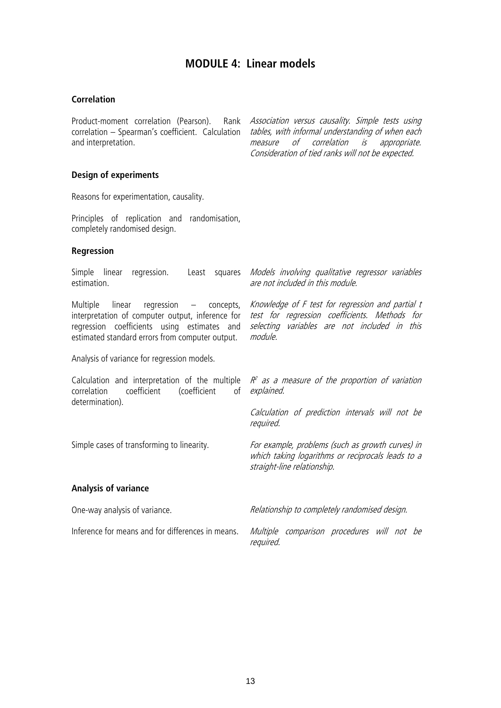### **MODULE 4: Linear models**

### **Correlation**

and interpretation.

Product-moment correlation (Pearson). Rank *Association versus causality. Simple tests using* correlation – Spearman's coefficient. Calculation *tables, with informal understanding of when each* measure of correlation is appropriate. Consideration of tied ranks will not be expected.

### **Design of experiments**

Reasons for experimentation, causality.

Principles of replication and randomisation, completely randomised design.

### **Regression**

|                                                                     | Simple linear<br>regression. Least squares<br>estimation.                                                                                                                                          | Models involving qualitative regressor variables<br>are not included in this module.                                                                         |
|---------------------------------------------------------------------|----------------------------------------------------------------------------------------------------------------------------------------------------------------------------------------------------|--------------------------------------------------------------------------------------------------------------------------------------------------------------|
|                                                                     | Multiple<br>linear regression<br>– concepts,<br>interpretation of computer output, inference for<br>regression coefficients using estimates and<br>estimated standard errors from computer output. | Knowledge of F test for regression and partial t<br>test for regression coefficients. Methods for<br>selecting variables are not included in this<br>module. |
|                                                                     | Analysis of variance for regression models.                                                                                                                                                        |                                                                                                                                                              |
| coefficient<br>(coefficient<br>correlation<br>of<br>determination). | Calculation and interpretation of the multiple $R^2$ as a measure of the proportion of variation<br>explained.                                                                                     |                                                                                                                                                              |
|                                                                     |                                                                                                                                                                                                    | Calculation of prediction intervals will not be<br>required.                                                                                                 |
|                                                                     | Simple cases of transforming to linearity.                                                                                                                                                         | For example, problems (such as growth curves) in<br>which taking logarithms or reciprocals leads to a<br>straight-line relationship.                         |
|                                                                     | <b>Analysis of variance</b>                                                                                                                                                                        |                                                                                                                                                              |
|                                                                     | One-way analysis of variance.                                                                                                                                                                      | Relationship to completely randomised design.                                                                                                                |
|                                                                     | Inference for means and for differences in means.                                                                                                                                                  | Multiple comparison procedures will not be<br>required.                                                                                                      |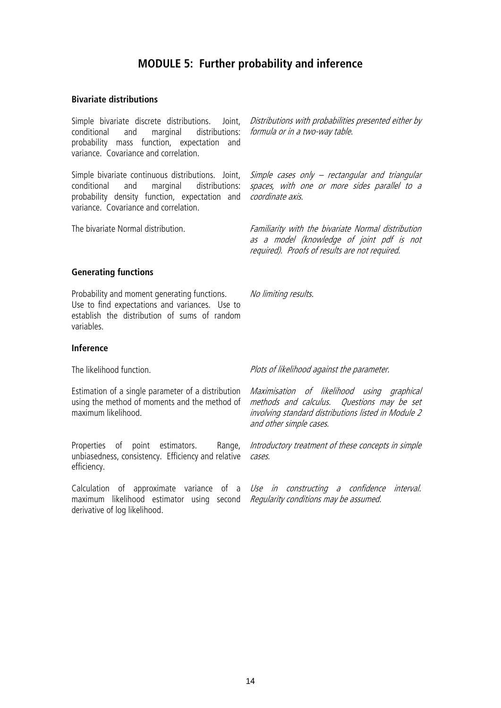### **MODULE 5: Further probability and inference**

#### **Bivariate distributions**

Simple bivariate discrete distributions. Joint, *Distributions with probabilities presented either by* conditional and marginal distributions: probability mass function, expectation and variance. Covariance and correlation.

Simple bivariate continuous distributions. Joint, Simple cases only — rectangular and triangular conditional and marginal distributions: *spaces, with one or more sides parallel to a* probability density function, expectation and *coordinate axis*. variance. Covariance and correlation.

formula or in a two-way table.

The bivariate Normal distribution. The *Familiarity with the bivariate Normal distribution* as a model (knowledge of joint pdf is not required). Proofs of results are not required.

### **Generating functions**

Probability and moment generating functions. Use to find expectations and variances. Use to establish the distribution of sums of random variables.

### **Inference**

Estimation of a single parameter of a distribution *Maximisation of likelihood using graphical* using the method of moments and the method of *methods and calculus. Questions may be set* maximum likelihood.

Properties of point estimators. unbiasedness, consistency. Efficiency and relative *cases.* efficiency.

Calculation of approximate variance of a *Use in constructing a confidence interval.* maximum likelihood estimator using second *Regularity conditions may be assumed*. derivative of log likelihood.

The likelihood function. The likelihood against the parameter.

No limiting results.

involving standard distributions listed in Module 2 and other simple cases.

Range, Introductory treatment of these concepts in simple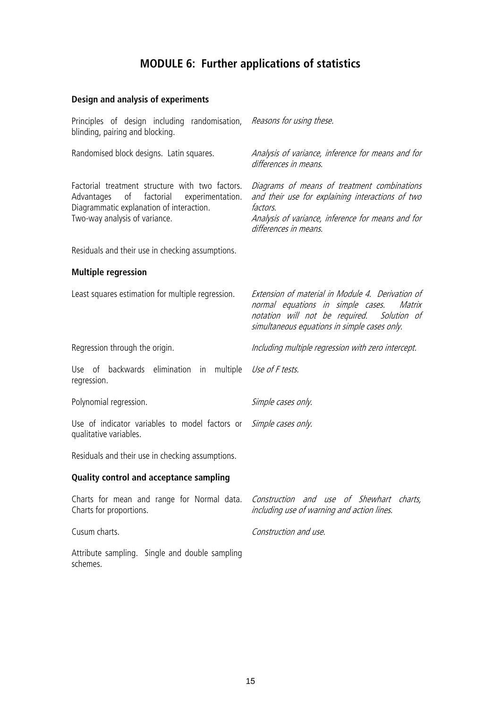## **MODULE 6: Further applications of statistics**

### **Design and analysis of experiments**

| Principles of design including randomisation,<br>blinding, pairing and blocking.                                                                                                         | Reasons for using these.                                                                                                                                                                         |
|------------------------------------------------------------------------------------------------------------------------------------------------------------------------------------------|--------------------------------------------------------------------------------------------------------------------------------------------------------------------------------------------------|
| Randomised block designs. Latin squares.                                                                                                                                                 | Analysis of variance, inference for means and for<br>differences in means.                                                                                                                       |
| Factorial treatment structure with two factors.<br>$\circ$ f<br>factorial<br>Advantages<br>experimentation.<br>Diagrammatic explanation of interaction.<br>Two-way analysis of variance. | Diagrams of means of treatment combinations<br>and their use for explaining interactions of two<br>factors.<br>Analysis of variance, inference for means and for<br>differences in means.        |
| Residuals and their use in checking assumptions.                                                                                                                                         |                                                                                                                                                                                                  |
| <b>Multiple regression</b>                                                                                                                                                               |                                                                                                                                                                                                  |
| Least squares estimation for multiple regression.                                                                                                                                        | Extension of material in Module 4. Derivation of<br>normal equations in simple cases.<br>Matrix<br>notation will not be required.<br>Solution of<br>simultaneous equations in simple cases only. |
| Regression through the origin.                                                                                                                                                           | Including multiple regression with zero intercept.                                                                                                                                               |
| Use of backwards elimination<br>multiple<br>in<br>regression.                                                                                                                            | Use of F tests.                                                                                                                                                                                  |
| Polynomial regression.                                                                                                                                                                   | Simple cases only.                                                                                                                                                                               |
| Use of indicator variables to model factors or<br>qualitative variables.                                                                                                                 | Simple cases only.                                                                                                                                                                               |
| Residuals and their use in checking assumptions.                                                                                                                                         |                                                                                                                                                                                                  |
| <b>Quality control and acceptance sampling</b>                                                                                                                                           |                                                                                                                                                                                                  |
| Charts for mean and range for Normal data.<br>Charts for proportions.                                                                                                                    | Construction and use of Shewhart charts,<br>including use of warning and action lines.                                                                                                           |
| Cusum charts.                                                                                                                                                                            | Construction and use.                                                                                                                                                                            |

Attribute sampling. Single and double sampling schemes.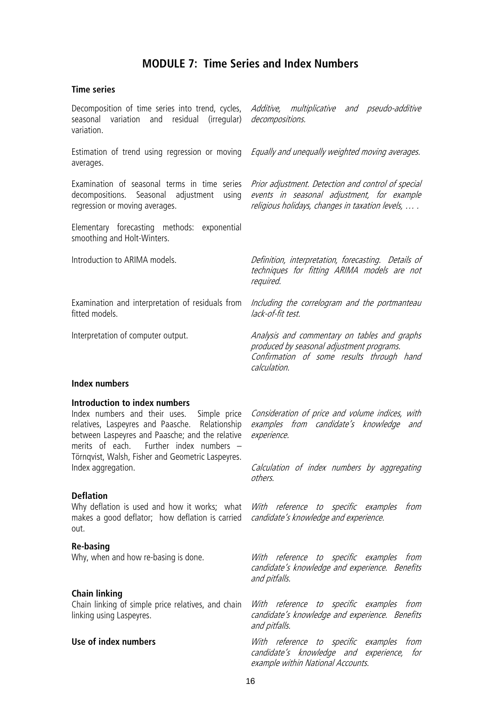### **MODULE 7: Time Series and Index Numbers**

#### **Time series**

Decomposition of time series into trend, cycles, *Additive, multiplicative and pseudo-additive* seasonal variation and residual (irregular) *decompositions*. variation.

Estimation of trend using regression or moving *Equally and unequally weighted moving averages*. averages.

Examination of seasonal terms in time series decompositions. Seasonal adjustment using regression or moving averages.

Elementary forecasting methods: exponential smoothing and Holt-Winters.

Introduction to ARIMA models.

fitted models.

Interpretation of computer output.

Prior adjustment. Detection and control of special events in seasonal adjustment, for example religious holidays, changes in taxation levels, … .

Definition, interpretation, forecasting. Details of techniques for fitting ARIMA models are not required.

Examination and interpretation of residuals from *Including the correlogram and the portmanteau* lack-of-fit test.

> Analysis and commentary on tables and graphs produced by seasonal adjustment programs. Confirmation of some results through hand calculation.

### **Index numbers**

### **Introduction to index numbers**

relatives, Laspeyres and Paasche. Relationship between Laspeyres and Paasche; and the relative<br>merits of each. Further index numbers – Further index numbers  $-$ Törnqvist, Walsh, Fisher and Geometric Laspeyres. Index aggregation.

#### **Deflation**

Why deflation is used and how it works; what *With reference to specific examples from* makes a good deflator; how deflation is carried *candidate's knowledge and experience*. out.

#### **Re-basing**

#### **Chain linking**

Chain linking of simple price relatives, and chain *With reference to specific examples from* linking using Laspeyres.

Index numbers and their uses. Simple price *Consideration of price and volume indices, with* examples from candidate's knowledge and experience.

> Calculation of index numbers by aggregating others.

Why, when and how re-basing is done. With reference to specific examples from candidate's knowledge and experience. Benefits and pitfalls.

> candidate's knowledge and experience. Benefits and pitfalls.

Use of index numbers **Numbers With** reference to specific examples from candidate's knowledge and experience, for example within National Accounts.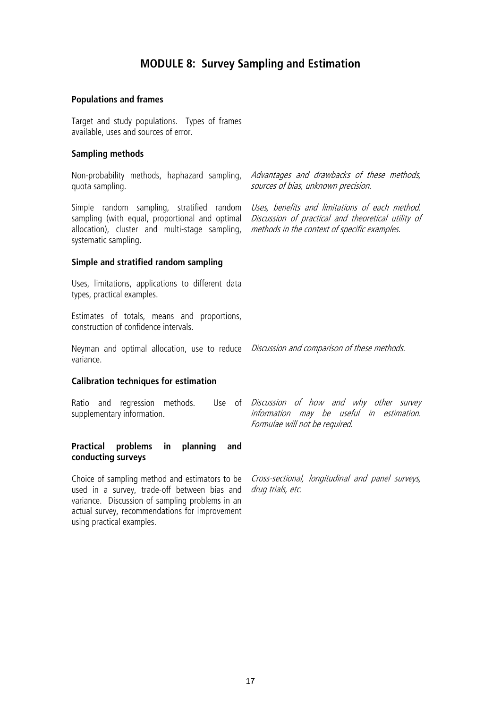### **MODULE 8: Survey Sampling and Estimation**

#### **Populations and frames**

Target and study populations. Types of frames available, uses and sources of error.

### **Sampling methods**

quota sampling.

Simple random sampling, stratified random *Uses, benefits and limitations of each method.* sampling (with equal, proportional and optimal allocation), cluster and multi-stage sampling, systematic sampling.

Non-probability methods, haphazard sampling, *Advantages and drawbacks of these methods,* sources of bias, unknown precision.

> Discussion of practical and theoretical utility of methods in the context of specific examples.

### **Simple and stratified random sampling**

Uses, limitations, applications to different data types, practical examples.

Estimates of totals, means and proportions, construction of confidence intervals.

Neyman and optimal allocation, use to reduce *Discussion and comparison of these methods*. variance.

#### **Calibration techniques for estimation**

Ratio and regression methods. supplementary information.

Use of *Discussion of how and why other survey* information may be useful in estimation. Formulae will not be required.

#### **Practical problems in planning and conducting surveys**

Choice of sampling method and estimators to be used in a survey, trade-off between bias and variance. Discussion of sampling problems in an actual survey, recommendations for improvement using practical examples.

Cross-sectional, longitudinal and panel surveys, drug trials, etc.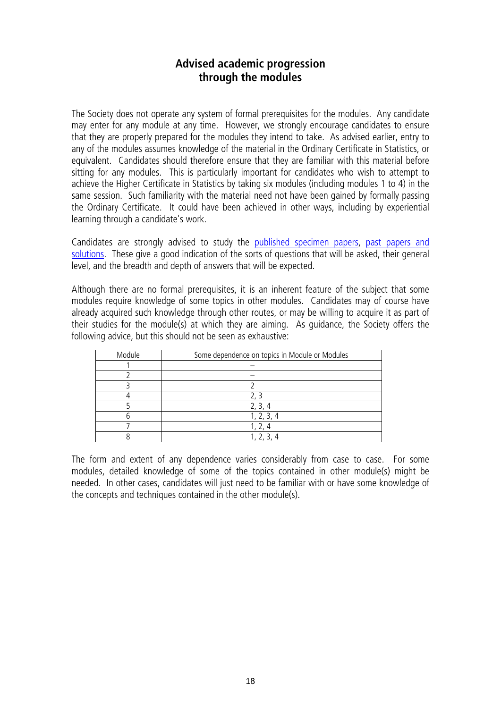### **Advised academic progression through the modules**

The Society does not operate any system of formal prerequisites for the modules. Any candidate may enter for any module at any time. However, we strongly encourage candidates to ensure that they are properly prepared for the modules they intend to take. As advised earlier, entry to any of the modules assumes knowledge of the material in the Ordinary Certificate in Statistics, or equivalent. Candidates should therefore ensure that they are familiar with this material before sitting for any modules. This is particularly important for candidates who wish to attempt to achieve the Higher Certificate in Statistics by taking six modules (including modules 1 to 4) in the same session. Such familiarity with the material need not have been gained by formally passing the Ordinary Certificate. It could have been achieved in other ways, including by experiential learning through a candidate's work.

Candidates are strongly advised to study the [published specimen papers,](http://www.rss.org.uk/RSS/pro_dev/Examinations/key_information/Exam_past_papers/RSS/pro_dev/Examinations_sub/key_information/Exam_past_papers/Past_papers_and_solutions.aspx?hkey=a9bb93ab-66e5-4268-8faa-9c4251c35b16) [past papers and](http://www.rss.org.uk/RSS/pro_dev/Examinations/key_information/Exam_past_papers/RSS/pro_dev/Examinations_sub/key_information/Exam_past_papers/Past_papers_and_solutions.aspx?hkey=a9bb93ab-66e5-4268-8faa-9c4251c35b16)  [solutions.](http://www.rss.org.uk/site/cms/contentviewarticle.asp?article=602) These give a good indication of the sorts of questions that will be asked, their general level, and the breadth and depth of answers that will be expected.

Although there are no formal prerequisites, it is an inherent feature of the subject that some modules require knowledge of some topics in other modules. Candidates may of course have already acquired such knowledge through other routes, or may be willing to acquire it as part of their studies for the module(s) at which they are aiming. As guidance, the Society offers the following advice, but this should not be seen as exhaustive:

| Module | Some dependence on topics in Module or Modules |
|--------|------------------------------------------------|
|        |                                                |
|        |                                                |
|        |                                                |
|        |                                                |
|        |                                                |
|        | 1, 2, 3, 4                                     |
|        |                                                |
|        |                                                |

The form and extent of any dependence varies considerably from case to case. For some modules, detailed knowledge of some of the topics contained in other module(s) might be needed. In other cases, candidates will just need to be familiar with or have some knowledge of the concepts and techniques contained in the other module(s).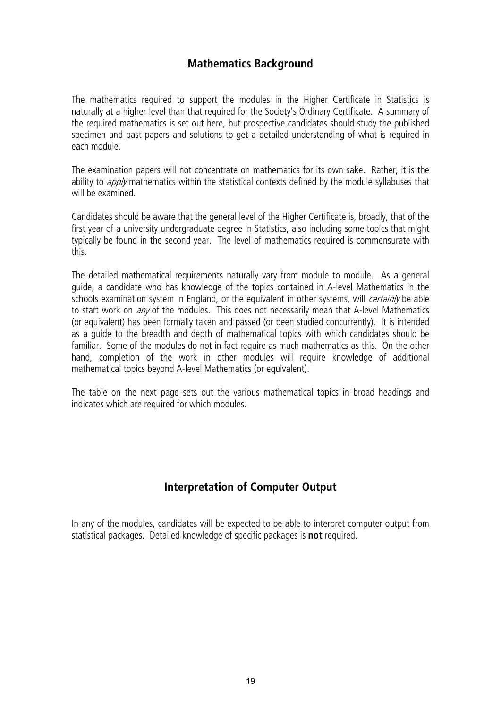### **Mathematics Background**

The mathematics required to support the modules in the Higher Certificate in Statistics is naturally at a higher level than that required for the Society's Ordinary Certificate. A summary of the required mathematics is set out here, but prospective candidates should study the published specimen and past papers and solutions to get a detailed understanding of what is required in each module.

The examination papers will not concentrate on mathematics for its own sake. Rather, it is the ability to *apply* mathematics within the statistical contexts defined by the module syllabuses that will be examined.

Candidates should be aware that the general level of the Higher Certificate is, broadly, that of the first year of a university undergraduate degree in Statistics, also including some topics that might typically be found in the second year. The level of mathematics required is commensurate with this.

The detailed mathematical requirements naturally vary from module to module. As a general guide, a candidate who has knowledge of the topics contained in A-level Mathematics in the schools examination system in England, or the equivalent in other systems, will *certainly* be able to start work on *any* of the modules. This does not necessarily mean that A-level Mathematics (or equivalent) has been formally taken and passed (or been studied concurrently). It is intended as a guide to the breadth and depth of mathematical topics with which candidates should be familiar. Some of the modules do not in fact require as much mathematics as this. On the other hand, completion of the work in other modules will require knowledge of additional mathematical topics beyond A-level Mathematics (or equivalent).

The table on the next page sets out the various mathematical topics in broad headings and indicates which are required for which modules.

### **Interpretation of Computer Output**

In any of the modules, candidates will be expected to be able to interpret computer output from statistical packages. Detailed knowledge of specific packages is **not** required.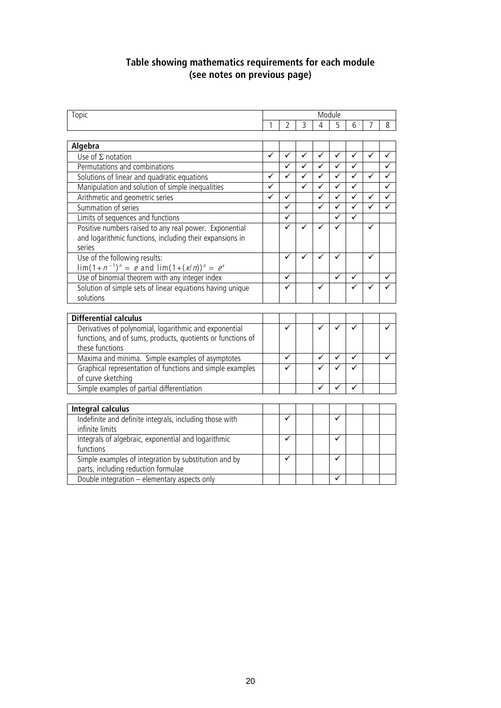### **Table showing mathematics requirements for each module (see notes on previous page)**

| Topic                                                                                  | Module                  |                         |                |                |              |              |   |              |
|----------------------------------------------------------------------------------------|-------------------------|-------------------------|----------------|----------------|--------------|--------------|---|--------------|
|                                                                                        | 1                       | 2                       | $\overline{3}$ | $\overline{4}$ | 5            | 6            |   | 8            |
|                                                                                        |                         |                         |                |                |              |              |   |              |
| Algebra                                                                                | $\overline{\checkmark}$ | $\overline{\checkmark}$ |                |                |              |              |   |              |
| Use of $\Sigma$ notation                                                               |                         |                         | $\checkmark$   | $\checkmark$   | $\checkmark$ | $\checkmark$ | ✓ | $\checkmark$ |
| Permutations and combinations                                                          |                         | ✓                       | ✓              | $\checkmark$   | ✓            | ✓            |   | ✓            |
| Solutions of linear and quadratic equations                                            | ✓                       | ✓                       | ✓              | $\checkmark$   | ✓            | ✓            | ✓ | ✓            |
| Manipulation and solution of simple inequalities                                       | ✓                       |                         | ✓              | $\checkmark$   | ✓            | ✓            |   | ✓            |
| Arithmetic and geometric series                                                        | ✓                       | ✓                       |                | $\checkmark$   | ✓            | ✓            | ✓ | $\checkmark$ |
| Summation of series                                                                    |                         | $\checkmark$            |                | ✓              | ✓            | $\checkmark$ | ✓ | ✓            |
| Limits of sequences and functions                                                      |                         | ✓                       |                |                | ✓            | $\checkmark$ |   |              |
| Positive numbers raised to any real power. Exponential                                 |                         | ✓                       |                | ✓              | ✓            |              | ✓ |              |
| and logarithmic functions, including their expansions in                               |                         |                         |                |                |              |              |   |              |
| series                                                                                 |                         |                         |                |                |              |              |   |              |
| Use of the following results:                                                          |                         | ✓                       |                |                | ✓            |              |   |              |
| $\lim_{n \to \infty} (1 + n^{-1})^n = e$ and $\lim_{n \to \infty} (1 + (x/n))^n = e^x$ |                         |                         |                |                |              |              |   |              |
| Use of binomial theorem with any integer index                                         |                         | ✓                       |                |                |              |              |   |              |
| Solution of simple sets of linear equations having unique                              |                         | ✓                       |                | ✓              |              |              |   |              |
| solutions                                                                              |                         |                         |                |                |              |              |   |              |
|                                                                                        |                         |                         |                |                |              |              |   |              |
| <b>Differential calculus</b>                                                           |                         |                         |                |                |              |              |   |              |
| Derivatives of polynomial, logarithmic and exponential                                 |                         | ✓                       |                |                |              |              |   |              |
| functions, and of sums, products, quotients or functions of                            |                         |                         |                |                |              |              |   |              |
| these functions                                                                        |                         |                         |                |                |              |              |   |              |
| Maxima and minima. Simple examples of asymptotes                                       |                         | $\checkmark$            |                | ✓              | ✓            | ✓            |   | ✓            |
| Graphical representation of functions and simple examples                              |                         | ✓                       |                |                |              |              |   |              |
| of curve sketching                                                                     |                         |                         |                |                |              |              |   |              |
| Simple examples of partial differentiation                                             |                         |                         |                | ✓              |              | ✓            |   |              |
|                                                                                        |                         |                         |                |                |              |              |   |              |
| <b>Integral calculus</b>                                                               |                         |                         |                |                |              |              |   |              |
| Indefinite and definite integrals, including those with                                |                         | $\checkmark$            |                |                | ✓            |              |   |              |
| infinite limits                                                                        |                         |                         |                |                |              |              |   |              |
| Integrals of algebraic, exponential and logarithmic                                    |                         | $\checkmark$            |                |                | ✓            |              |   |              |
| functions                                                                              |                         |                         |                |                |              |              |   |              |
| Simple examples of integration by substitution and by                                  |                         | $\checkmark$            |                |                | ✓            |              |   |              |
| parts, including reduction formulae                                                    |                         |                         |                |                |              |              |   |              |
| Double integration - elementary aspects only                                           |                         |                         |                |                |              |              |   |              |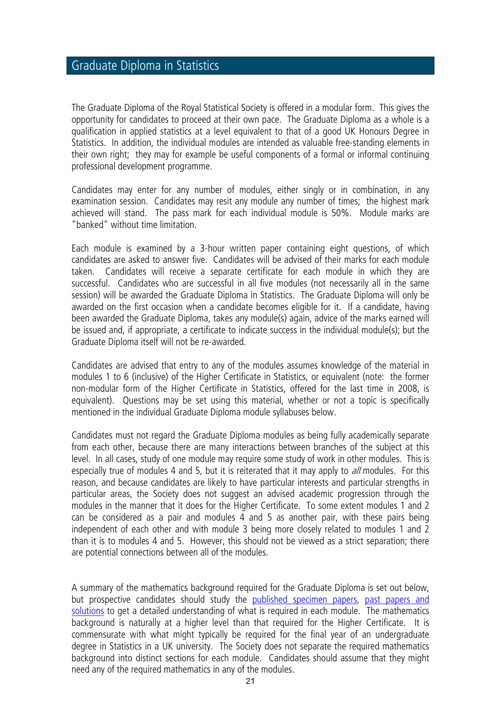### Graduate Diploma in Statistics

The Graduate Diploma of the Royal Statistical Society is offered in a modular form. This gives the opportunity for candidates to proceed at their own pace. The Graduate Diploma as a whole is a qualification in applied statistics at a level equivalent to that of a good UK Honours Degree in Statistics. In addition, the individual modules are intended as valuable free-standing elements in their own right; they may for example be useful components of a formal or informal continuing professional development programme.

Candidates may enter for any number of modules, either singly or in combination, in any examination session. Candidates may resit any module any number of times; the highest mark achieved will stand. The pass mark for each individual module is 50%. Module marks are "banked" without time limitation.

Each module is examined by a 3-hour written paper containing eight questions, of which candidates are asked to answer five. Candidates will be advised of their marks for each module taken. Candidates will receive a separate certificate for each module in which they are successful. Candidates who are successful in all five modules (not necessarily all in the same session) will be awarded the Graduate Diploma in Statistics. The Graduate Diploma will only be awarded on the first occasion when a candidate becomes eligible for it. If a candidate, having been awarded the Graduate Diploma, takes any module(s) again, advice of the marks earned will be issued and, if appropriate, a certificate to indicate success in the individual module(s); but the Graduate Diploma itself will not be re-awarded.

Candidates are advised that entry to any of the modules assumes knowledge of the material in modules 1 to 6 (inclusive) of the Higher Certificate in Statistics, or equivalent (note: the former non-modular form of the Higher Certificate in Statistics, offered for the last time in 2008, is equivalent). Questions may be set using this material, whether or not a topic is specifically mentioned in the individual Graduate Diploma module syllabuses below.

Candidates must not regard the Graduate Diploma modules as being fully academically separate from each other, because there are many interactions between branches of the subject at this level. In all cases, study of one module may require some study of work in other modules. This is especially true of modules 4 and 5, but it is reiterated that it may apply to all modules. For this reason, and because candidates are likely to have particular interests and particular strengths in particular areas, the Society does not suggest an advised academic progression through the modules in the manner that it does for the Higher Certificate. To some extent modules 1 and 2 can be considered as a pair and modules 4 and 5 as another pair, with these pairs being independent of each other and with module 3 being more closely related to modules 1 and 2 than it is to modules 4 and 5. However, this should not be viewed as a strict separation; there are potential connections between all of the modules.

A summary of the mathematics background required for the Graduate Diploma is set out below, but prospective candidates should study the [published specimen papers,](http://www.rss.org.uk/RSS/pro_dev/Examinations/key_information/Exam_past_papers/RSS/pro_dev/Examinations_sub/key_information/Exam_past_papers/Past_papers_and_solutions.aspx?hkey=a9bb93ab-66e5-4268-8faa-9c4251c35b16) [past papers and](http://www.rss.org.uk/RSS/pro_dev/Examinations/key_information/Exam_past_papers/RSS/pro_dev/Examinations_sub/key_information/Exam_past_papers/Past_papers_and_solutions.aspx?hkey=a9bb93ab-66e5-4268-8faa-9c4251c35b16)  [solutions](http://www.rss.org.uk/site/cms/contentviewarticle.asp?article=602) to get a detailed understanding of what is required in each module. The mathematics background is naturally at a higher level than that required for the Higher Certificate. It is commensurate with what might typically be required for the final year of an undergraduate degree in Statistics in a UK university. The Society does not separate the required mathematics background into distinct sections for each module. Candidates should assume that they might need any of the required mathematics in any of the modules.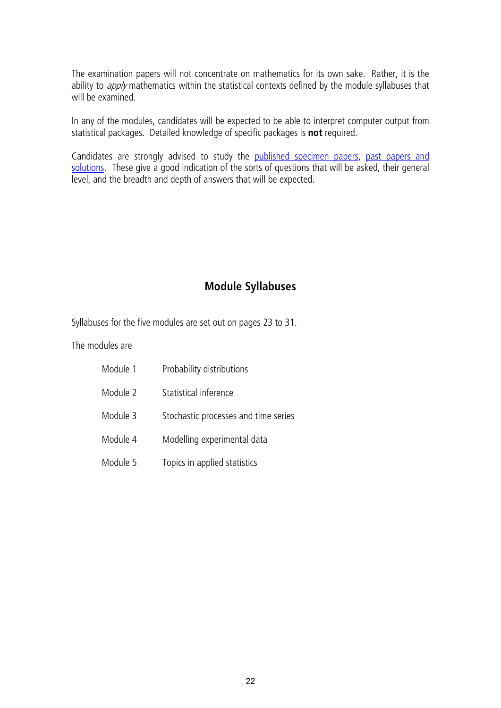The examination papers will not concentrate on mathematics for its own sake. Rather, it is the ability to *apply* mathematics within the statistical contexts defined by the module syllabuses that will be examined.

In any of the modules, candidates will be expected to be able to interpret computer output from statistical packages. Detailed knowledge of specific packages is **not** required.

Candidates are strongly advised to study the [published specimen papers,](http://www.rss.org.uk/RSS/pro_dev/Examinations/key_information/Exam_past_papers/RSS/pro_dev/Examinations_sub/key_information/Exam_past_papers/Past_papers_and_solutions.aspx?hkey=a9bb93ab-66e5-4268-8faa-9c4251c35b16) past papers and [solutions.](http://www.rss.org.uk/site/cms/contentviewarticle.asp?article=602) These give a good indication of the sorts of questions that will be asked, their general level, and the breadth and depth of answers that will be expected.

### **Module Syllabuses**

Syllabuses for the five modules are set out on pages 23 to 31.

The modules are

| Module 1 | Probability distributions            |
|----------|--------------------------------------|
| Module 2 | Statistical inference                |
| Module 3 | Stochastic processes and time series |
| Module 4 | Modelling experimental data          |
| Module 5 | Topics in applied statistics         |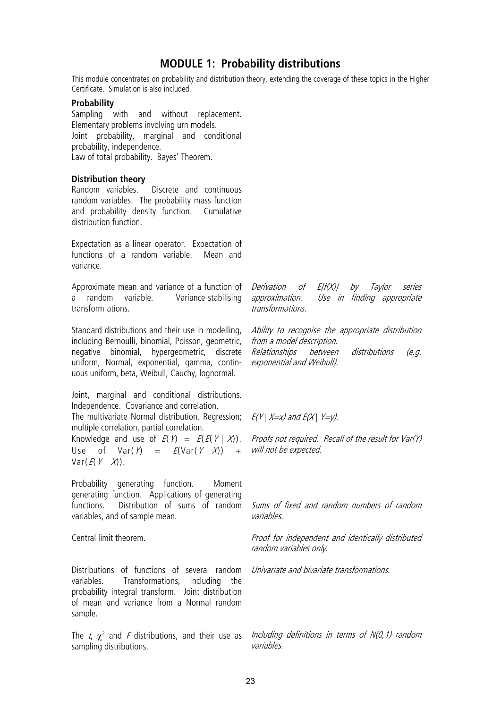### **MODULE 1: Probability distributions**

This module concentrates on probability and distribution theory, extending the coverage of these topics in the Higher Certificate. Simulation is also included.

#### **Probability**

Sampling with and without replacement. Elementary problems involving urn models. Joint probability, marginal and conditional probability, independence. Law of total probability. Bayes' Theorem.

## **Distribution theory**<br>Random variables.

Discrete and continuous random variables. The probability mass function and probability density function. Cumulative distribution function.

Expectation as a linear operator. Expectation of functions of a random variable. Mean and variance.

Approximate mean and variance of a function of a random variable. Variance-stabilising transform-ations.

Standard distributions and their use in modelling, including Bernoulli, binomial, Poisson, geometric, negative binomial, hypergeometric, discrete uniform, Normal, exponential, gamma, continuous uniform, beta, Weibull, Cauchy, lognormal.

Joint, marginal and conditional distributions. Independence. Covariance and correlation.

The multivariate Normal distribution. Regression;  $E(Y | X=x)$  and  $E(X | Y=y)$ . multiple correlation, partial correlation.

Knowledge and use of  $E(Y) = E(E(Y | X))$ . Use of  $Var(Y) = E(Var(Y | X)) +$  $Var(E(Y | X)).$ 

Probability generating function. Moment generating function. Applications of generating functions. Distribution of sums of random *Sums of fixed and random numbers of random* variables, and of sample mean.

Distributions of functions of several random variables. Transformations, including the probability integral transform. Joint distribution of mean and variance from a Normal random sample.

The t,  $\chi^2$  and F distributions, and their use as sampling distributions.

Derivation of E[f(X)] by Taylor series approximation. Use in finding appropriate transformations.

Ability to recognise the appropriate distribution from a model description. Relationships between distributions (e.g. exponential and Weibull).

Proofs not required. Recall of the result for Var(Y) will not be expected.

variables.

Central limit theorem. The contract of the contract of the proof for independent and identically distributed random variables only.

Univariate and bivariate transformations.

Including definitions in terms of N(0,1) random variables.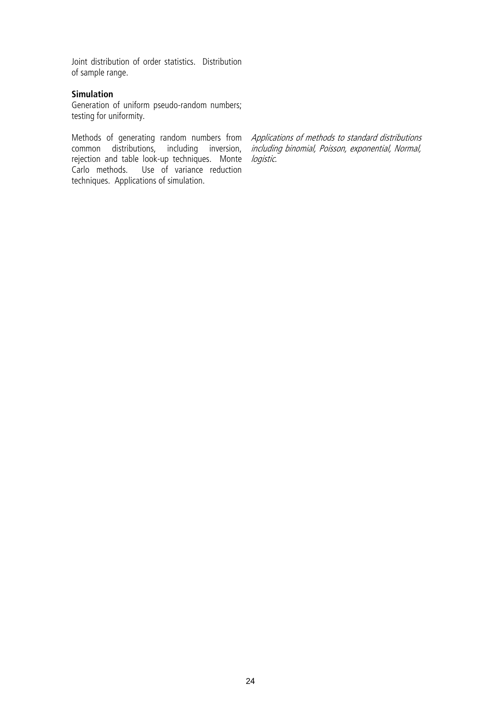Joint distribution of order statistics. Distribution of sample range.

### **Simulation**

Generation of uniform pseudo-random numbers; testing for uniformity.

Methods of generating random numbers from common distributions, including inversion, rejection and table look-up techniques. Monte Carlo methods. Use of variance reduction techniques. Applications of simulation.

Applications of methods to standard distributions including binomial, Poisson, exponential, Normal, logistic.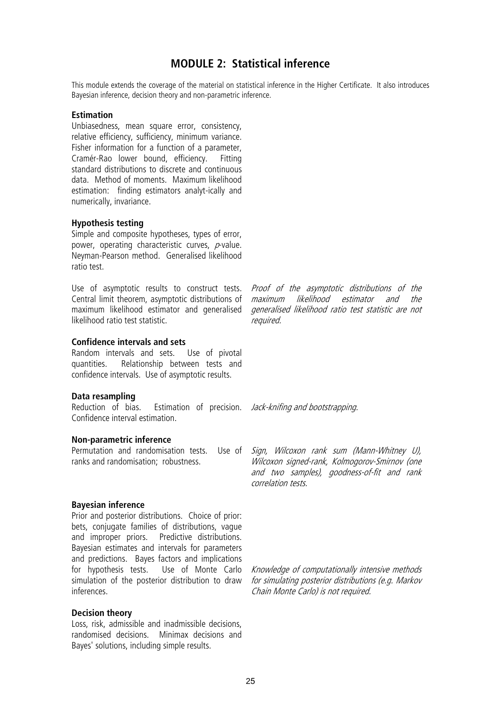### **MODULE 2: Statistical inference**

This module extends the coverage of the material on statistical inference in the Higher Certificate. It also introduces Bayesian inference, decision theory and non-parametric inference.

#### **Estimation**

Unbiasedness, mean square error, consistency, relative efficiency, sufficiency, minimum variance. Fisher information for a function of a parameter, Cramér-Rao lower bound, efficiency. Fitting standard distributions to discrete and continuous data. Method of moments. Maximum likelihood estimation: finding estimators analyt-ically and numerically, invariance.

#### **Hypothesis testing**

Simple and composite hypotheses, types of error, power, operating characteristic curves,  $p$ -value. Neyman-Pearson method. Generalised likelihood ratio test.

Use of asymptotic results to construct tests. Central limit theorem, asymptotic distributions of maximum likelihood estimator and generalised *generalised likelihood ratio test statistic are not* likelihood ratio test statistic.

#### **Confidence intervals and sets**

Random intervals and sets. Use of pivotal quantities. Relationship between tests and confidence intervals. Use of asymptotic results.

#### **Data resampling**

Reduction of bias. Estimation of precision. *Jack-knifing and bootstrapping*. Confidence interval estimation.

#### **Non-parametric inference**

ranks and randomisation; robustness.

#### **Bayesian inference**

Prior and posterior distributions. Choice of prior: bets, conjugate families of distributions, vague and improper priors. Predictive distributions. Bayesian estimates and intervals for parameters and predictions. Bayes factors and implications for hypothesis tests. Use of Monte Carlo simulation of the posterior distribution to draw inferences.

#### **Decision theory**

Loss, risk, admissible and inadmissible decisions, randomised decisions. Minimax decisions and Bayes' solutions, including simple results.

Proof of the asymptotic distributions of the<br>maximum likelihood estimator and the likelihood estimator and the required.

Permutation and randomisation tests. Use of Sign, Wilcoxon rank sum (Mann-Whitney U), Wilcoxon signed-rank, Kolmogorov-Smirnov (one and two samples), goodness-of-fit and rank correlation tests.

> Knowledge of computationally intensive methods for simulating posterior distributions (e.g. Markov Chain Monte Carlo) is not required.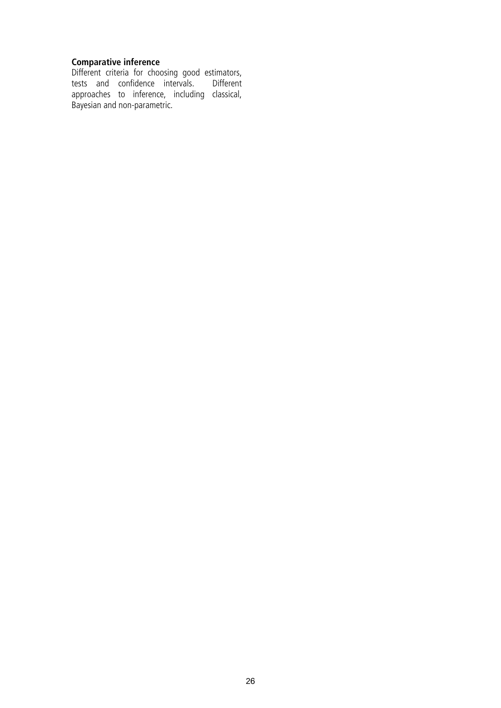### **Comparative inference**

Different criteria for choosing good estimators, tests and confidence intervals. Different approaches to inference, including classical, Bayesian and non-parametric.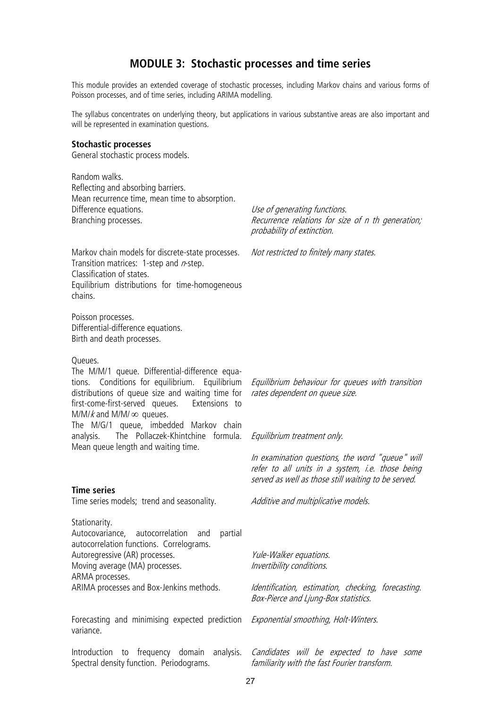### **MODULE 3: Stochastic processes and time series**

This module provides an extended coverage of stochastic processes, including Markov chains and various forms of Poisson processes, and of time series, including ARIMA modelling.

The syllabus concentrates on underlying theory, but applications in various substantive areas are also important and will be represented in examination questions.

#### **Stochastic processes**

General stochastic process models.

Random walks. Reflecting and absorbing barriers. Mean recurrence time, mean time to absorption. Difference equations. Branching processes.

Use of generating functions. Recurrence relations for size of n th generation; probability of extinction.

Markov chain models for discrete-state processes. Transition matrices: 1-step and  $n$ -step. Classification of states. Equilibrium distributions for time-homogeneous chains.

Poisson processes. Differential-difference equations. Birth and death processes.

#### Queues.

The M/M/1 queue. Differential-difference equations. Conditions for equilibrium. Equilibrium distributions of queue size and waiting time for first-come-first-served queues. Extensions to  $M/M/k$  and  $M/M/\infty$  queues.

The M/G/1 queue, imbedded Markov chain analysis. The Pollaczek-Khintchine formula. Mean queue length and waiting time.

#### **Time series**

Time series models; trend and seasonality.

Stationarity.

Autocovariance, autocorrelation and partial autocorrelation functions. Correlograms. Autoregressive (AR) processes. Moving average (MA) processes. ARMA processes. ARIMA processes and Box-Jenkins methods.

Forecasting and minimising expected prediction variance.

Introduction to frequency domain analysis. Spectral density function. Periodograms.

Not restricted to finitely many states.

Equilibrium behaviour for queues with transition rates dependent on queue size.

Equilibrium treatment only.

In examination questions, the word "queue" will refer to all units in a system, i.e. those being served as well as those still waiting to be served.

Additive and multiplicative models.

Yule-Walker equations. Invertibility conditions.

Identification, estimation, checking, forecasting. Box-Pierce and Ljung-Box statistics.

Exponential smoothing, Holt-Winters.

Candidates will be expected to have some familiarity with the fast Fourier transform.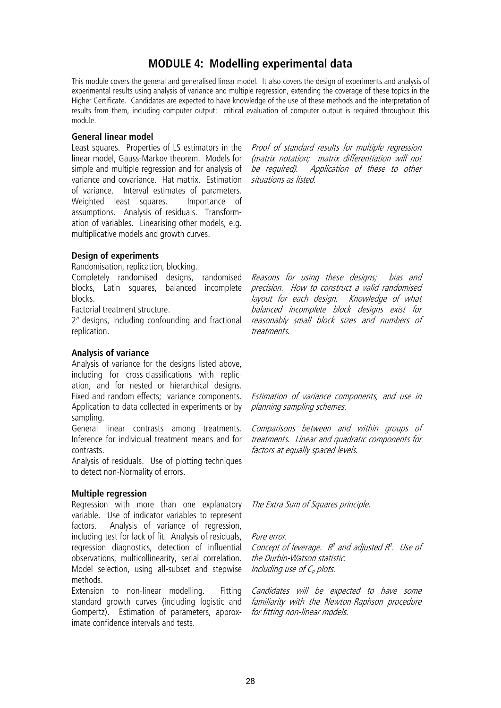### **MODULE 4: Modelling experimental data**

This module covers the general and generalised linear model. It also covers the design of experiments and analysis of experimental results using analysis of variance and multiple regression, extending the coverage of these topics in the Higher Certificate. Candidates are expected to have knowledge of the use of these methods and the interpretation of results from them, including computer output: critical evaluation of computer output is required throughout this module.

#### **General linear model**

Least squares. Properties of LS estimators in the *Proof of standard results for multiple regression* linear model, Gauss-Markov theorem. Models for simple and multiple regression and for analysis of  $be$  required). variance and covariance. Hat matrix. Estimation *situations as listed*. of variance. Interval estimates of parameters. Weighted least squares. Importance of assumptions. Analysis of residuals. Transformation of variables. Linearising other models, e.g. multiplicative models and growth curves.

(matrix notation; matrix differentiation will not Application of these to other

### **Design of experiments**

Randomisation, replication, blocking.

Completely randomised designs, randomised blocks, Latin squares, balanced incomplete blocks.

Factorial treatment structure.

 $2<sup>n</sup>$  designs, including confounding and fractional replication.

### **Analysis of variance**

Analysis of variance for the designs listed above, including for cross-classifications with replication, and for nested or hierarchical designs. Fixed and random effects; variance components. Application to data collected in experiments or by sampling.

General linear contrasts among treatments. Inference for individual treatment means and for contrasts.

Analysis of residuals. Use of plotting techniques to detect non-Normality of errors.

### **Multiple regression**

Regression with more than one explanatory variable. Use of indicator variables to represent factors. Analysis of variance of regression, including test for lack of fit. Analysis of residuals, regression diagnostics, detection of influential observations, multicollinearity, serial correlation. Model selection, using all-subset and stepwise methods.

Extension to non-linear modelling. Fitting standard growth curves (including logistic and Gompertz). Estimation of parameters, approximate confidence intervals and tests.

Reasons for using these designs; bias and precision. How to construct a valid randomised layout for each design. Knowledge of what balanced incomplete block designs exist for reasonably small block sizes and numbers of treatments.

Estimation of variance components, and use in planning sampling schemes.

Comparisons between and within groups of treatments. Linear and quadratic components for factors at equally spaced levels.

The Extra Sum of Squares principle.

Pure error.

Concept of leverage.  $R^2$  and adjusted  $R^2$ . Use of the Durbin-Watson statistic. Including use of  $C_p$  plots.

Candidates will be expected to have some familiarity with the Newton-Raphson procedure for fitting non-linear models.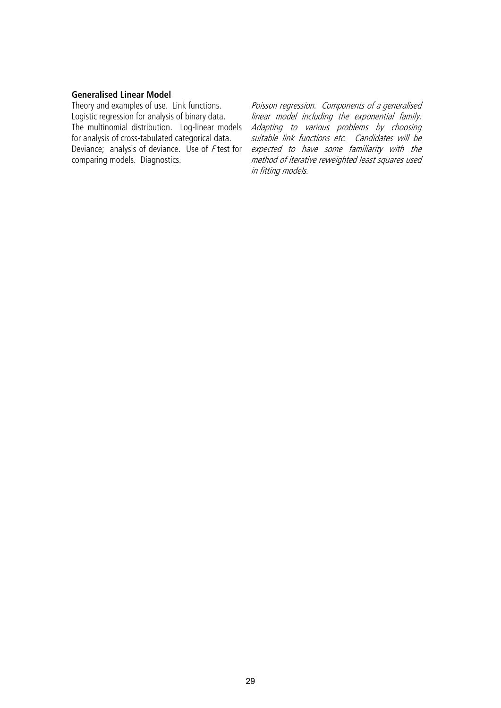### **Generalised Linear Model**

Theory and examples of use. Link functions. Logistic regression for analysis of binary data. The multinomial distribution. Log-linear models for analysis of cross-tabulated categorical data. Deviance; analysis of deviance. Use of <sup>F</sup> test for comparing models. Diagnostics.

Poisson regression. Components of a generalised linear model including the exponential family. Adapting to various problems by choosing suitable link functions etc. Candidates will be expected to have some familiarity with the method of iterative reweighted least squares used in fitting models.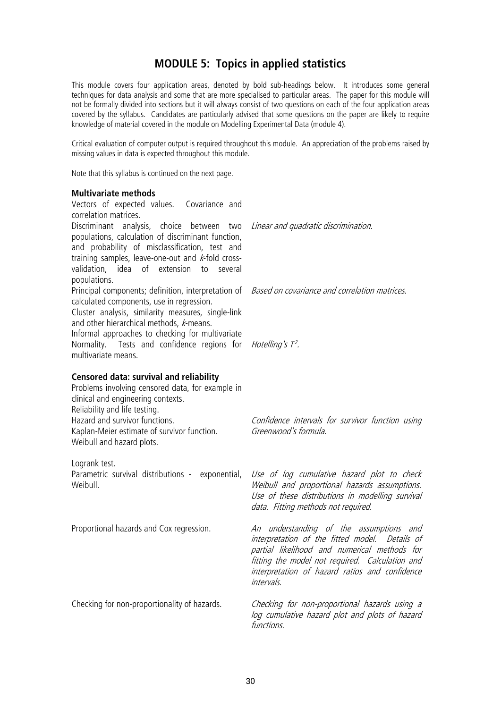### **MODULE 5: Topics in applied statistics**

This module covers four application areas, denoted by bold sub-headings below. It introduces some general techniques for data analysis and some that are more specialised to particular areas. The paper for this module will not be formally divided into sections but it will always consist of two questions on each of the four application areas covered by the syllabus. Candidates are particularly advised that some questions on the paper are likely to require knowledge of material covered in the module on Modelling Experimental Data (module 4).

Critical evaluation of computer output is required throughout this module. An appreciation of the problems raised by missing values in data is expected throughout this module.

Note that this syllabus is continued on the next page.

#### **Multivariate methods**

| Vectors of expected values. Covariance and<br>correlation matrices.                                                                                                                                                                                                                     |                                                                                                                                                                                                                                                              |
|-----------------------------------------------------------------------------------------------------------------------------------------------------------------------------------------------------------------------------------------------------------------------------------------|--------------------------------------------------------------------------------------------------------------------------------------------------------------------------------------------------------------------------------------------------------------|
| Discriminant analysis, choice between two<br>populations, calculation of discriminant function,<br>and probability of misclassification, test and<br>training samples, leave-one-out and $k$ -fold cross-<br>validation, idea of<br>extension<br>to<br>several<br>populations.          | Linear and quadratic discrimination.                                                                                                                                                                                                                         |
| Principal components; definition, interpretation of<br>calculated components, use in regression.<br>Cluster analysis, similarity measures, single-link<br>and other hierarchical methods, k-means.<br>Informal approaches to checking for multivariate                                  | Based on covariance and correlation matrices.                                                                                                                                                                                                                |
| Normality. Tests and confidence regions for<br>multivariate means.                                                                                                                                                                                                                      | Hotelling's T <sup>2</sup> .                                                                                                                                                                                                                                 |
| <b>Censored data: survival and reliability</b><br>Problems involving censored data, for example in<br>clinical and engineering contexts.<br>Reliability and life testing.<br>Hazard and survivor functions.<br>Kaplan-Meier estimate of survivor function.<br>Weibull and hazard plots. | Confidence intervals for survivor function using<br>Greenwood's formula.                                                                                                                                                                                     |
| Logrank test.<br>Parametric survival distributions - exponential,<br>Weibull.                                                                                                                                                                                                           | Use of log cumulative hazard plot to check<br>Weibull and proportional hazards assumptions.<br>Use of these distributions in modelling survival<br>data. Fitting methods not required.                                                                       |
| Proportional hazards and Cox regression.                                                                                                                                                                                                                                                | An understanding of the assumptions and<br>interpretation of the fitted model. Details of<br>partial likelihood and numerical methods for<br>fitting the model not required. Calculation and<br>interpretation of hazard ratios and confidence<br>intervals. |
| Checking for non-proportionality of hazards.                                                                                                                                                                                                                                            | Checking for non-proportional hazards using a<br>log cumulative hazard plot and plots of hazard<br><i>functions</i> .                                                                                                                                        |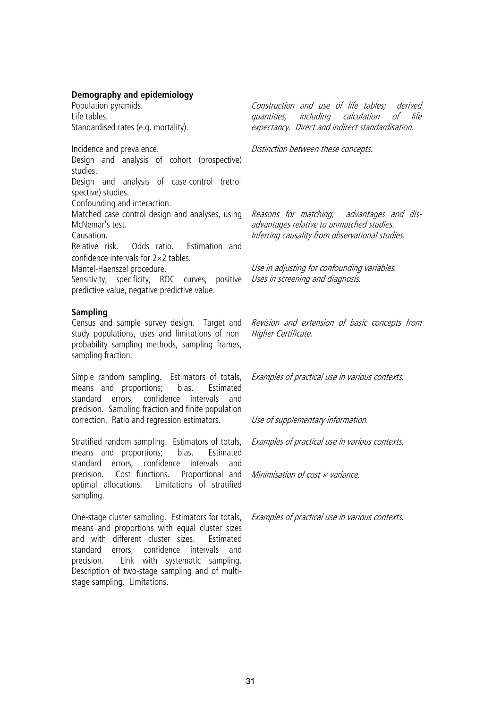### **Demography and epidemiology**

Population pyramids. Life tables. Standardised rates (e.g. mortality).

Incidence and prevalence. Design and analysis of cohort (prospective) studies. Design and analysis of case-control (retrospective) studies. Confounding and interaction. Matched case control design and analyses, using McNemar's test. Causation. Relative risk. Odds ratio. Estimation and confidence intervals for 2×2 tables.

Mantel-Haenszel procedure.

Sensitivity, specificity, ROC curves, positive predictive value, negative predictive value.

#### **Sampling**

Census and sample survey design. Target and study populations, uses and limitations of nonprobability sampling methods, sampling frames, sampling fraction.

Simple random sampling. Estimators of totals, means and proportions; bias. Estimated standard errors, confidence intervals and precision. Sampling fraction and finite population correction. Ratio and regression estimators.

Stratified random sampling. Estimators of totals, means and proportions; bias. Estimated standard errors, confidence intervals and precision. Cost functions. Proportional and optimal allocations. Limitations of stratified sampling.

One-stage cluster sampling. Estimators for totals, means and proportions with equal cluster sizes and with different cluster sizes. Estimated standard errors, confidence intervals and precision. Link with systematic sampling. Description of two-stage sampling and of multistage sampling. Limitations.

Construction and use of life tables; derived quantities, including calculation of life expectancy. Direct and indirect standardisation.

Distinction between these concepts.

Reasons for matching; advantages and disadvantages relative to unmatched studies. Inferring causality from observational studies.

Use in adjusting for confounding variables. Uses in screening and diagnosis.

Revision and extension of basic concepts from Higher Certificate.

Examples of practical use in various contexts.

Use of supplementary information.

Examples of practical use in various contexts.

Minimisation of cost  $\times$  variance.

Examples of practical use in various contexts.